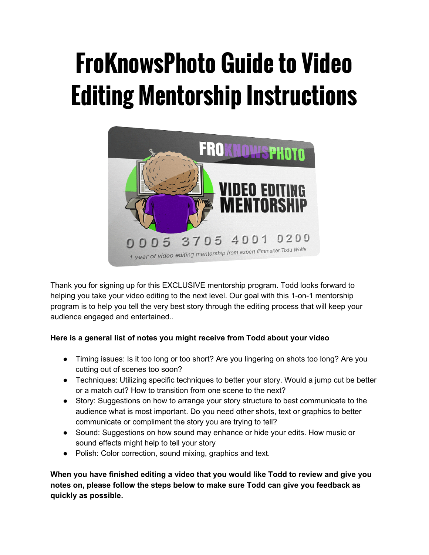# **FroKnowsPhoto Guide to Video Editing Mentorship Instructions**



Thank you for signing up for this EXCLUSIVE mentorship program. Todd looks forward to helping you take your video editing to the next level. Our goal with this 1-on-1 mentorship program is to help you tell the very best story through the editing process that will keep your audience engaged and entertained..

# **Here is a general list of notes you might receive from Todd about your video**

- Timing issues: Is it too long or too short? Are you lingering on shots too long? Are you cutting out of scenes too soon?
- Techniques: Utilizing specific techniques to better your story. Would a jump cut be better or a match cut? How to transition from one scene to the next?
- Story: Suggestions on how to arrange your story structure to best communicate to the audience what is most important. Do you need other shots, text or graphics to better communicate or compliment the story you are trying to tell?
- Sound: Suggestions on how sound may enhance or hide your edits. How music or sound effects might help to tell your story
- Polish: Color correction, sound mixing, graphics and text.

**When you have finished editing a video that you would like Todd to review and give you notes on, please follow the steps below to make sure Todd can give you feedback as quickly as possible.**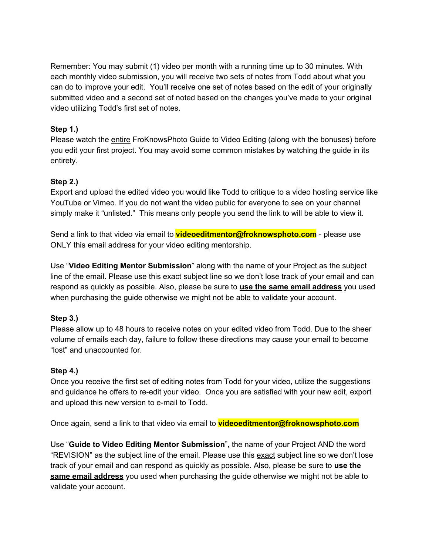Remember: You may submit (1) video per month with a running time up to 30 minutes. With each monthly video submission, you will receive two sets of notes from Todd about what you can do to improve your edit. You'll receive one set of notes based on the edit of your originally submitted video and a second set of noted based on the changes you've made to your original video utilizing Todd's first set of notes.

## **Step 1.)**

Please watch the entire FroKnowsPhoto Guide to Video Editing (along with the bonuses) before you edit your first project. You may avoid some common mistakes by watching the guide in its entirety.

# **Step 2.)**

Export and upload the edited video you would like Todd to critique to a video hosting service like YouTube or Vimeo. If you do not want the video public for everyone to see on your channel simply make it "unlisted." This means only people you send the link to will be able to view it.

Send a link to that video via email to **videoeditmentor@froknowsphoto.com** - please use ONLY this email address for your video editing mentorship.

Use "**Video Editing Mentor Submission**" along with the name of your Project as the subject line of the email. Please use this exact subject line so we don't lose track of your email and can respond as quickly as possible. Also, please be sure to **use the same email address**you used when purchasing the guide otherwise we might not be able to validate your account.

### **Step 3.)**

Please allow up to 48 hours to receive notes on your edited video from Todd. Due to the sheer volume of emails each day, failure to follow these directions may cause your email to become "lost" and unaccounted for.

### **Step 4.)**

Once you receive the first set of editing notes from Todd for your video, utilize the suggestions and guidance he offers to re-edit your video. Once you are satisfied with your new edit, export and upload this new version to e-mail to Todd.

Once again, send a link to that video via email to **videoeditmentor@froknowsphoto.com**

Use "**Guide to Video Editing Mentor Submission**", the name of your Project AND the word "REVISION" as the subject line of the email. Please use this exact subject line so we don't lose track of your email and can respond as quickly as possible. Also, please be sure to **use the same email address** you used when purchasing the guide otherwise we might not be able to validate your account.